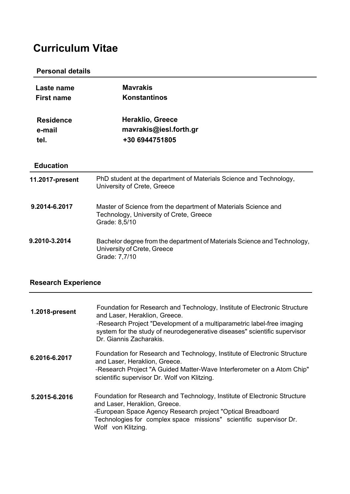# **Curriculum Vitae**

### **Personal details**

| Laste name<br><b>First name</b>    | <b>Mavrakis</b><br><b>Konstantinos</b>                                                                                     |
|------------------------------------|----------------------------------------------------------------------------------------------------------------------------|
| <b>Residence</b><br>e-mail<br>tel. | <b>Heraklio, Greece</b><br>mavrakis@iesl.forth.gr<br>+30 6944751805                                                        |
| <b>Education</b>                   |                                                                                                                            |
| 11.2017-present                    | PhD student at the department of Materials Science and Technology,<br>University of Crete, Greece                          |
| 9.2014-6.2017                      | Master of Science from the department of Materials Science and<br>Technology, University of Crete, Greece<br>Grade: 8,5/10 |
| 9.2010-3.2014                      | Bachelor degree from the department of Materials Science and Technology,<br>University of Crete, Greece<br>Grade: 7,7/10   |

## **Research Experience**

| 1.2018-present | Foundation for Research and Technology, Institute of Electronic Structure<br>and Laser, Heraklion, Greece.<br>-Research Project "Development of a multiparametric label-free imaging<br>system for the study of neurodegenerative diseases" scientific supervisor<br>Dr. Giannis Zacharakis. |
|----------------|----------------------------------------------------------------------------------------------------------------------------------------------------------------------------------------------------------------------------------------------------------------------------------------------|
| 6.2016-6.2017  | Foundation for Research and Technology, Institute of Electronic Structure<br>and Laser, Heraklion, Greece.<br>-Research Project "A Guided Matter-Wave Interferometer on a Atom Chip"<br>scientific supervisor Dr. Wolf von Klitzing.                                                         |
| 5.2015-6.2016  | Foundation for Research and Technology, Institute of Electronic Structure<br>and Laser, Heraklion, Greece.<br>-European Space Agency Research project "Optical Breadboard<br>Technologies for complex space missions" scientific supervisor Dr.<br>Wolf von Klitzing.                        |